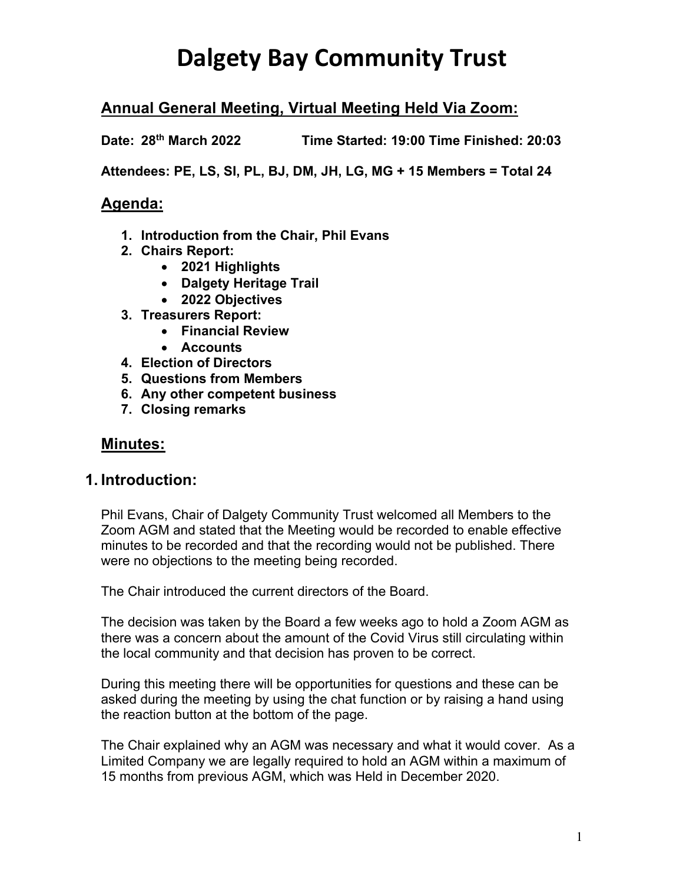## **Annual General Meeting, Virtual Meeting Held Via Zoom:**

**Date: 28th March 2022 Time Started: 19:00 Time Finished: 20:03**

**Attendees: PE, LS, SI, PL, BJ, DM, JH, LG, MG + 15 Members = Total 24**

### **Agenda:**

- **1. Introduction from the Chair, Phil Evans**
- **2. Chairs Report:**
	- **2021 Highlights**
	- **Dalgety Heritage Trail**
	- **2022 Objectives**
- **3. Treasurers Report:**
	- **Financial Review**
	- **Accounts**
- **4. Election of Directors**
- **5. Questions from Members**
- **6. Any other competent business**
- **7. Closing remarks**

### **Minutes:**

### **1. Introduction:**

Phil Evans, Chair of Dalgety Community Trust welcomed all Members to the Zoom AGM and stated that the Meeting would be recorded to enable effective minutes to be recorded and that the recording would not be published. There were no objections to the meeting being recorded.

The Chair introduced the current directors of the Board.

The decision was taken by the Board a few weeks ago to hold a Zoom AGM as there was a concern about the amount of the Covid Virus still circulating within the local community and that decision has proven to be correct.

During this meeting there will be opportunities for questions and these can be asked during the meeting by using the chat function or by raising a hand using the reaction button at the bottom of the page.

The Chair explained why an AGM was necessary and what it would cover. As a Limited Company we are legally required to hold an AGM within a maximum of 15 months from previous AGM, which was Held in December 2020.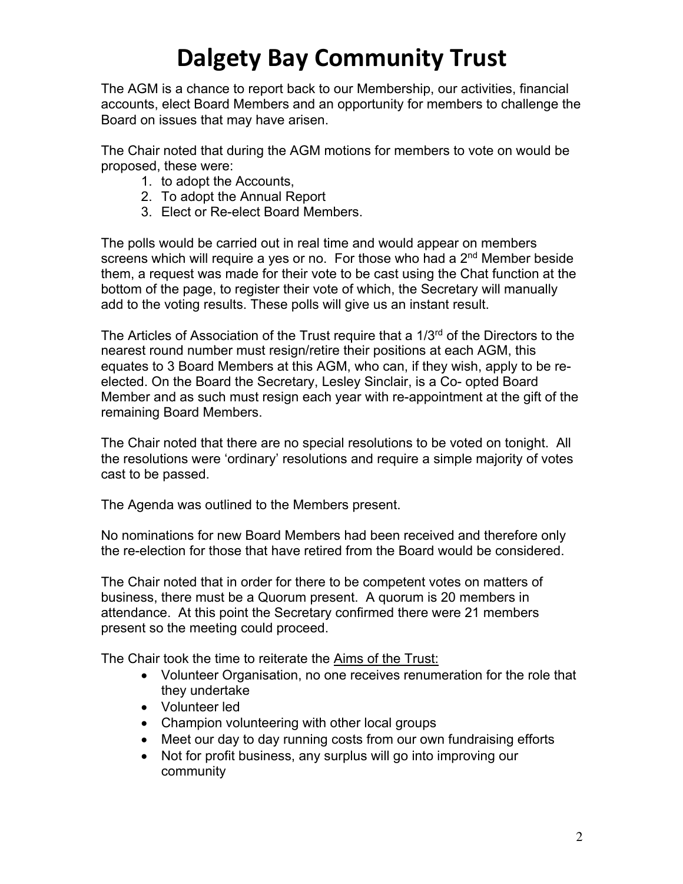The AGM is a chance to report back to our Membership, our activities, financial accounts, elect Board Members and an opportunity for members to challenge the Board on issues that may have arisen.

The Chair noted that during the AGM motions for members to vote on would be proposed, these were:

- 1. to adopt the Accounts,
- 2. To adopt the Annual Report
- 3. Elect or Re-elect Board Members.

The polls would be carried out in real time and would appear on members screens which will require a yes or no. For those who had a  $2<sup>nd</sup>$  Member beside them, a request was made for their vote to be cast using the Chat function at the bottom of the page, to register their vote of which, the Secretary will manually add to the voting results. These polls will give us an instant result.

The Articles of Association of the Trust require that a  $1/3<sup>rd</sup>$  of the Directors to the nearest round number must resign/retire their positions at each AGM, this equates to 3 Board Members at this AGM, who can, if they wish, apply to be reelected. On the Board the Secretary, Lesley Sinclair, is a Co- opted Board Member and as such must resign each year with re-appointment at the gift of the remaining Board Members.

The Chair noted that there are no special resolutions to be voted on tonight. All the resolutions were 'ordinary' resolutions and require a simple majority of votes cast to be passed.

The Agenda was outlined to the Members present.

No nominations for new Board Members had been received and therefore only the re-election for those that have retired from the Board would be considered.

The Chair noted that in order for there to be competent votes on matters of business, there must be a Quorum present. A quorum is 20 members in attendance. At this point the Secretary confirmed there were 21 members present so the meeting could proceed.

The Chair took the time to reiterate the Aims of the Trust:

- Volunteer Organisation, no one receives renumeration for the role that they undertake
- Volunteer led
- Champion volunteering with other local groups
- Meet our day to day running costs from our own fundraising efforts
- Not for profit business, any surplus will go into improving our community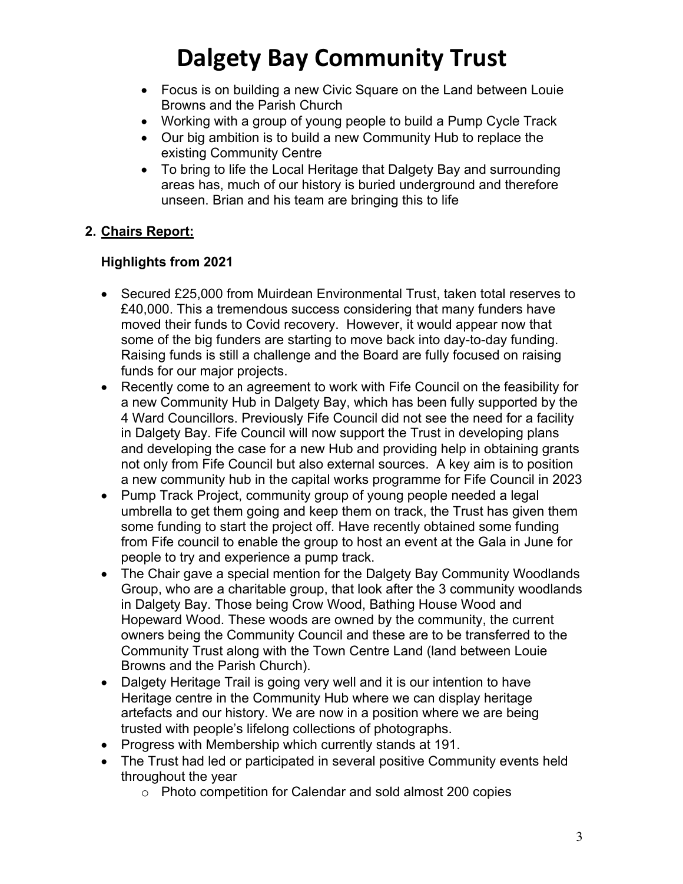- Focus is on building a new Civic Square on the Land between Louie Browns and the Parish Church
- Working with a group of young people to build a Pump Cycle Track
- Our big ambition is to build a new Community Hub to replace the existing Community Centre
- To bring to life the Local Heritage that Dalgety Bay and surrounding areas has, much of our history is buried underground and therefore unseen. Brian and his team are bringing this to life

## **2. Chairs Report:**

## **Highlights from 2021**

- Secured £25,000 from Muirdean Environmental Trust, taken total reserves to £40,000. This a tremendous success considering that many funders have moved their funds to Covid recovery. However, it would appear now that some of the big funders are starting to move back into day-to-day funding. Raising funds is still a challenge and the Board are fully focused on raising funds for our major projects.
- Recently come to an agreement to work with Fife Council on the feasibility for a new Community Hub in Dalgety Bay, which has been fully supported by the 4 Ward Councillors. Previously Fife Council did not see the need for a facility in Dalgety Bay. Fife Council will now support the Trust in developing plans and developing the case for a new Hub and providing help in obtaining grants not only from Fife Council but also external sources. A key aim is to position a new community hub in the capital works programme for Fife Council in 2023
- Pump Track Project, community group of young people needed a legal umbrella to get them going and keep them on track, the Trust has given them some funding to start the project off. Have recently obtained some funding from Fife council to enable the group to host an event at the Gala in June for people to try and experience a pump track.
- The Chair gave a special mention for the Dalgety Bay Community Woodlands Group, who are a charitable group, that look after the 3 community woodlands in Dalgety Bay. Those being Crow Wood, Bathing House Wood and Hopeward Wood. These woods are owned by the community, the current owners being the Community Council and these are to be transferred to the Community Trust along with the Town Centre Land (land between Louie Browns and the Parish Church).
- Dalgety Heritage Trail is going very well and it is our intention to have Heritage centre in the Community Hub where we can display heritage artefacts and our history. We are now in a position where we are being trusted with people's lifelong collections of photographs.
- Progress with Membership which currently stands at 191.
- The Trust had led or participated in several positive Community events held throughout the year
	- o Photo competition for Calendar and sold almost 200 copies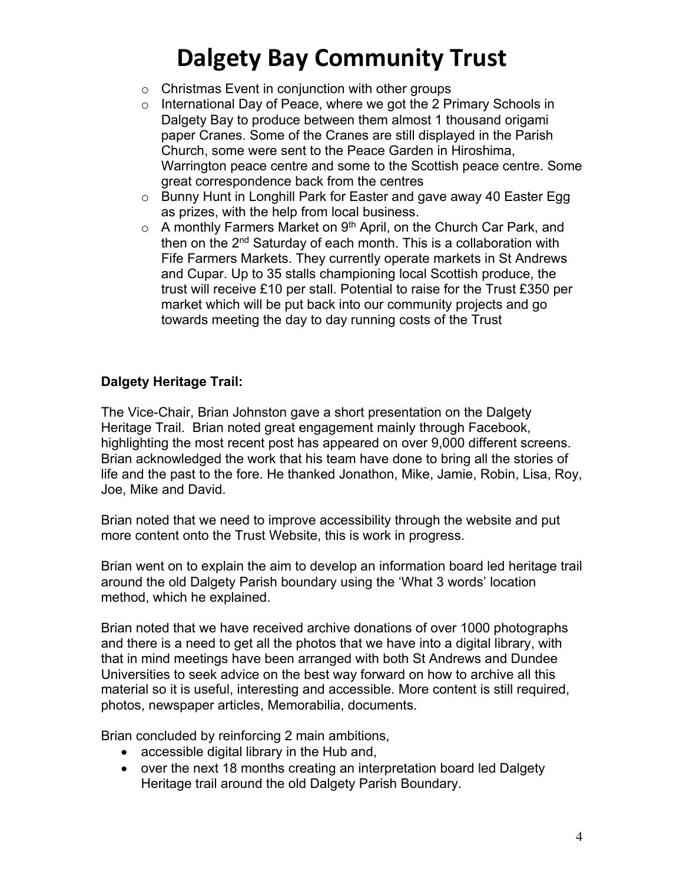- o Christmas Event in conjunction with other groups
- o International Day of Peace, where we got the 2 Primary Schools in Dalgety Bay to produce between them almost 1 thousand origami paper Cranes. Some of the Cranes are still displayed in the Parish Church, some were sent to the Peace Garden in Hiroshima, Warrington peace centre and some to the Scottish peace centre. Some great correspondence back from the centres
- o Bunny Hunt in Longhill Park for Easter and gave away 40 Easter Egg as prizes, with the help from local business.
- $\circ$  A monthly Farmers Market on 9<sup>th</sup> April, on the Church Car Park, and then on the 2<sup>nd</sup> Saturday of each month. This is a collaboration with Fife Farmers Markets. They currently operate markets in St Andrews and Cupar. Up to 35 stalls championing local Scottish produce, the trust will receive £10 per stall. Potential to raise for the Trust £350 per market which will be put back into our community projects and go towards meeting the day to day running costs of the Trust

### **Dalgety Heritage Trail:**

The Vice-Chair, Brian Johnston gave a short presentation on the Dalgety Heritage Trail. Brian noted great engagement mainly through Facebook, highlighting the most recent post has appeared on over 9,000 different screens. Brian acknowledged the work that his team have done to bring all the stories of life and the past to the fore. He thanked Jonathon, Mike, Jamie, Robin, Lisa, Roy, Joe, Mike and David.

Brian noted that we need to improve accessibility through the website and put more content onto the Trust Website, this is work in progress.

Brian went on to explain the aim to develop an information board led heritage trail around the old Dalgety Parish boundary using the 'What 3 words' location method, which he explained.

Brian noted that we have received archive donations of over 1000 photographs and there is a need to get all the photos that we have into a digital library, with that in mind meetings have been arranged with both St Andrews and Dundee Universities to seek advice on the best way forward on how to archive all this material so it is useful, interesting and accessible. More content is still required, photos, newspaper articles, Memorabilia, documents.

Brian concluded by reinforcing 2 main ambitions,

- accessible digital library in the Hub and,
- over the next 18 months creating an interpretation board led Dalgety Heritage trail around the old Dalgety Parish Boundary.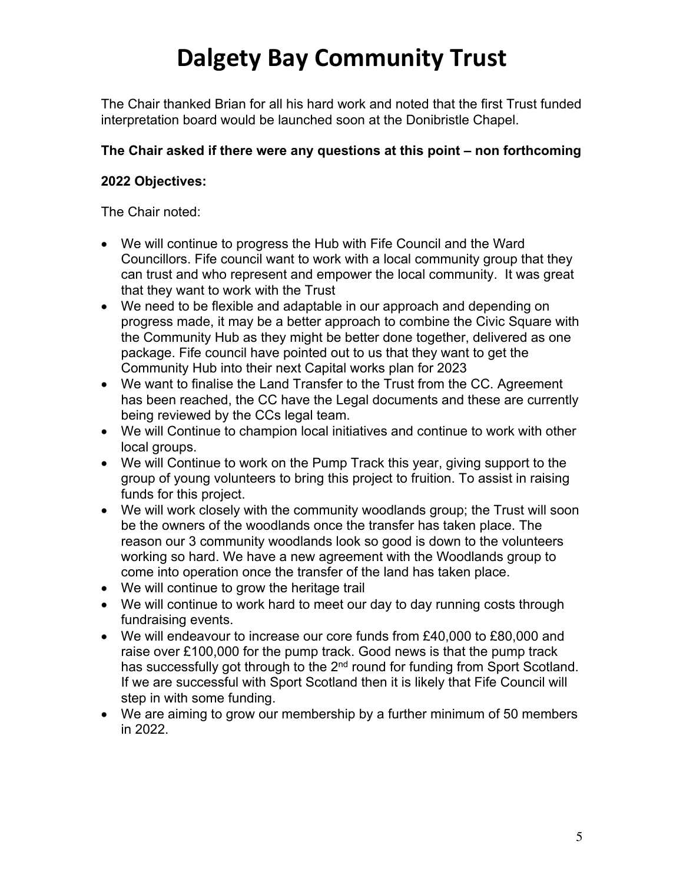The Chair thanked Brian for all his hard work and noted that the first Trust funded interpretation board would be launched soon at the Donibristle Chapel.

### **The Chair asked if there were any questions at this point – non forthcoming**

### **2022 Objectives:**

The Chair noted:

- We will continue to progress the Hub with Fife Council and the Ward Councillors. Fife council want to work with a local community group that they can trust and who represent and empower the local community. It was great that they want to work with the Trust
- We need to be flexible and adaptable in our approach and depending on progress made, it may be a better approach to combine the Civic Square with the Community Hub as they might be better done together, delivered as one package. Fife council have pointed out to us that they want to get the Community Hub into their next Capital works plan for 2023
- We want to finalise the Land Transfer to the Trust from the CC. Agreement has been reached, the CC have the Legal documents and these are currently being reviewed by the CCs legal team.
- We will Continue to champion local initiatives and continue to work with other local groups.
- We will Continue to work on the Pump Track this year, giving support to the group of young volunteers to bring this project to fruition. To assist in raising funds for this project.
- We will work closely with the community woodlands group; the Trust will soon be the owners of the woodlands once the transfer has taken place. The reason our 3 community woodlands look so good is down to the volunteers working so hard. We have a new agreement with the Woodlands group to come into operation once the transfer of the land has taken place.
- We will continue to grow the heritage trail
- We will continue to work hard to meet our day to day running costs through fundraising events.
- We will endeavour to increase our core funds from £40,000 to £80,000 and raise over £100,000 for the pump track. Good news is that the pump track has successfully got through to the 2<sup>nd</sup> round for funding from Sport Scotland. If we are successful with Sport Scotland then it is likely that Fife Council will step in with some funding.
- We are aiming to grow our membership by a further minimum of 50 members in 2022.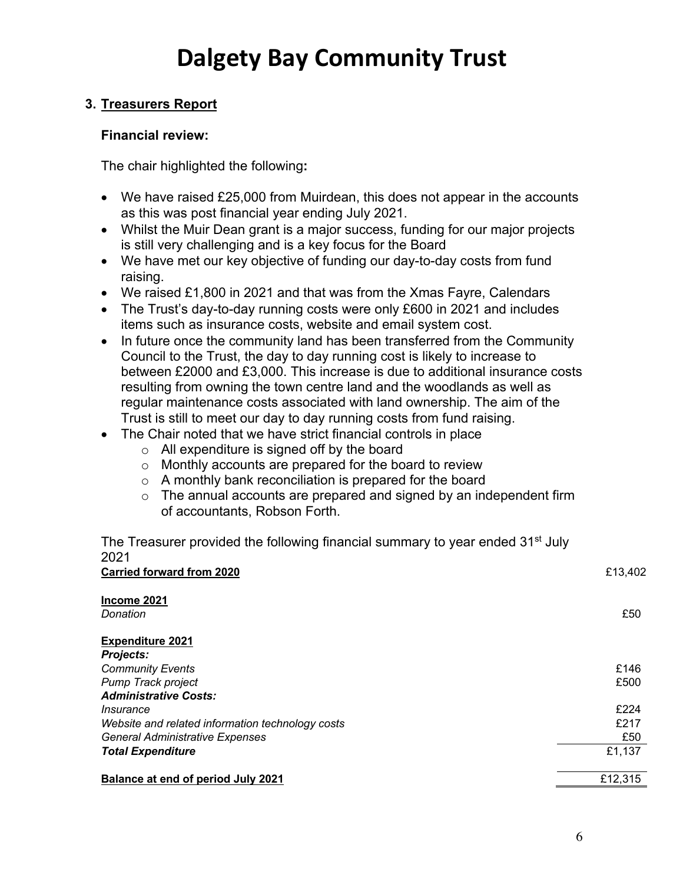### **3. Treasurers Report**

### **Financial review:**

The chair highlighted the following**:**

- We have raised £25,000 from Muirdean, this does not appear in the accounts as this was post financial year ending July 2021.
- Whilst the Muir Dean grant is a major success, funding for our major projects is still very challenging and is a key focus for the Board
- We have met our key objective of funding our day-to-day costs from fund raising.
- We raised £1,800 in 2021 and that was from the Xmas Fayre, Calendars
- The Trust's day-to-day running costs were only £600 in 2021 and includes items such as insurance costs, website and email system cost.
- In future once the community land has been transferred from the Community Council to the Trust, the day to day running cost is likely to increase to between £2000 and £3,000. This increase is due to additional insurance costs resulting from owning the town centre land and the woodlands as well as regular maintenance costs associated with land ownership. The aim of the Trust is still to meet our day to day running costs from fund raising.
- The Chair noted that we have strict financial controls in place
	- o All expenditure is signed off by the board
	- o Monthly accounts are prepared for the board to review
	- o A monthly bank reconciliation is prepared for the board
	- $\circ$  The annual accounts are prepared and signed by an independent firm of accountants, Robson Forth.

The Treasurer provided the following financial summary to year ended 31<sup>st</sup> July 2021 **Carried forward from 2020 E13.402** 

| Income 2021                                      |         |
|--------------------------------------------------|---------|
| Donation                                         | £50     |
| <b>Expenditure 2021</b>                          |         |
| Projects:                                        |         |
| <b>Community Events</b>                          | £146    |
| Pump Track project                               | £500    |
| <b>Administrative Costs:</b>                     |         |
| <i>Insurance</i>                                 | £224    |
| Website and related information technology costs | £217    |
| <b>General Administrative Expenses</b>           | £50     |
| <b>Total Expenditure</b>                         | £1,137  |
| <b>Balance at end of period July 2021</b>        | £12,315 |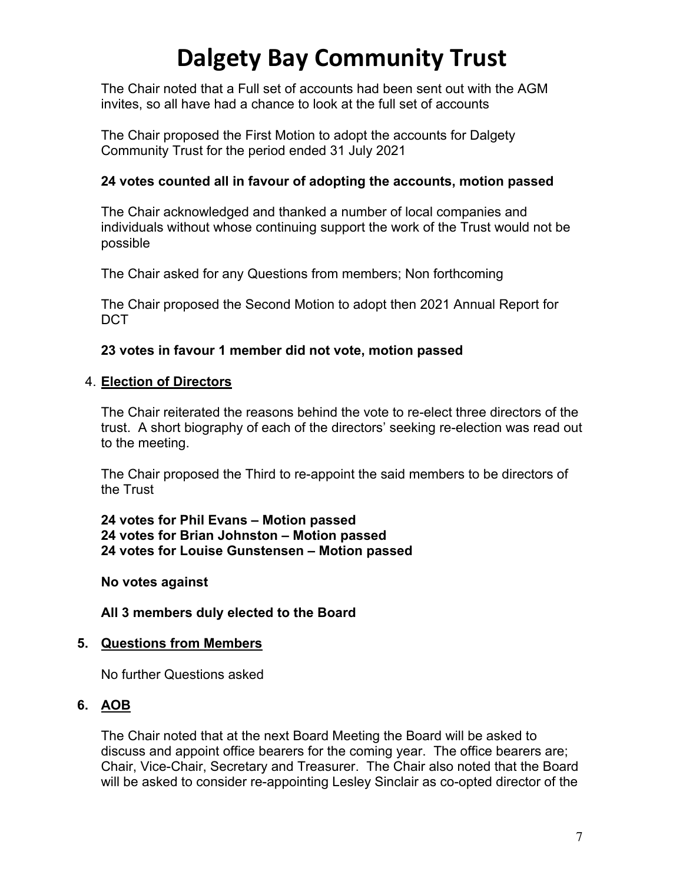The Chair noted that a Full set of accounts had been sent out with the AGM invites, so all have had a chance to look at the full set of accounts

The Chair proposed the First Motion to adopt the accounts for Dalgety Community Trust for the period ended 31 July 2021

### **24 votes counted all in favour of adopting the accounts, motion passed**

The Chair acknowledged and thanked a number of local companies and individuals without whose continuing support the work of the Trust would not be possible

The Chair asked for any Questions from members; Non forthcoming

The Chair proposed the Second Motion to adopt then 2021 Annual Report for DCT

### **23 votes in favour 1 member did not vote, motion passed**

#### 4. **Election of Directors**

The Chair reiterated the reasons behind the vote to re-elect three directors of the trust. A short biography of each of the directors' seeking re-election was read out to the meeting.

The Chair proposed the Third to re-appoint the said members to be directors of the Trust

**24 votes for Phil Evans – Motion passed 24 votes for Brian Johnston – Motion passed 24 votes for Louise Gunstensen – Motion passed**

**No votes against**

**All 3 members duly elected to the Board**

### **5. Questions from Members**

No further Questions asked

### **6. AOB**

The Chair noted that at the next Board Meeting the Board will be asked to discuss and appoint office bearers for the coming year. The office bearers are; Chair, Vice-Chair, Secretary and Treasurer. The Chair also noted that the Board will be asked to consider re-appointing Lesley Sinclair as co-opted director of the